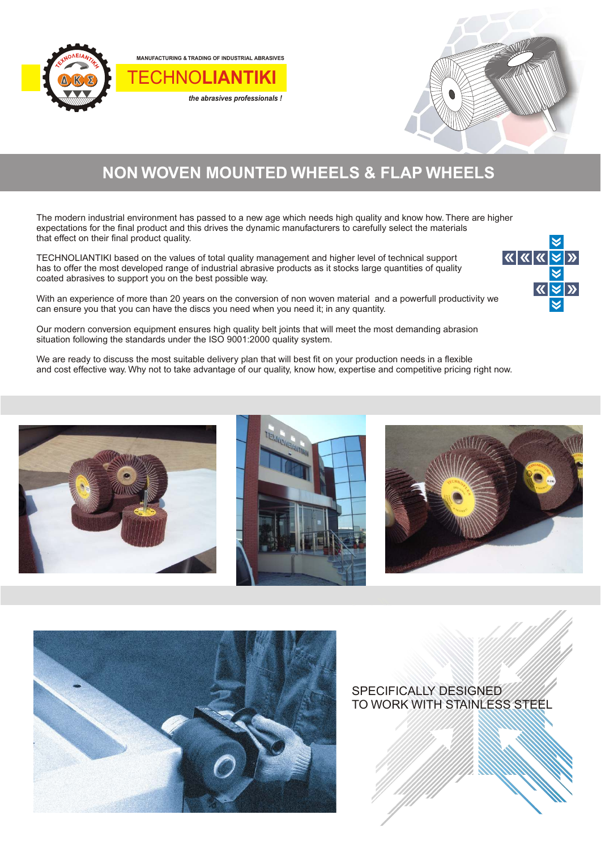

**MANUFACTURING & TRADING OF INDUSTRIAL ABRASIVES**

TECHNO**LIANTIKI**

*the abrasives professionals !*



## **NON WOVEN MOUNTED WHEELS & FLAP WHEELS**

The modern industrial environment has passed to a new age which needs high quality and know how. There are higher expectations for the final product and this drives the dynamic manufacturers to carefully select the materials that effect on their final product quality.

TECHNOLIANTIKI based on the values of total quality management and higher level of technical support has to offer the most developed range of industrial abrasive products as it stocks large quantities of quality coated abrasives to support you on the best possible way.

With an experience of more than 20 years on the conversion of non woven material and a powerfull productivity we can ensure you that you can have the discs you need when you need it; in any quantity.

Our modern conversion equipment ensures high quality belt joints that will meet the most demanding abrasion situation following the standards under the ISO 9001:2000 quality system.

We are ready to discuss the most suitable delivery plan that will best fit on your production needs in a flexible and cost effective way. Why not to take advantage of our quality, know how, expertise and competitive pricing right now.









SPECIFICALLY DESIGNED TO WORK WITH STAINLESS STEEL